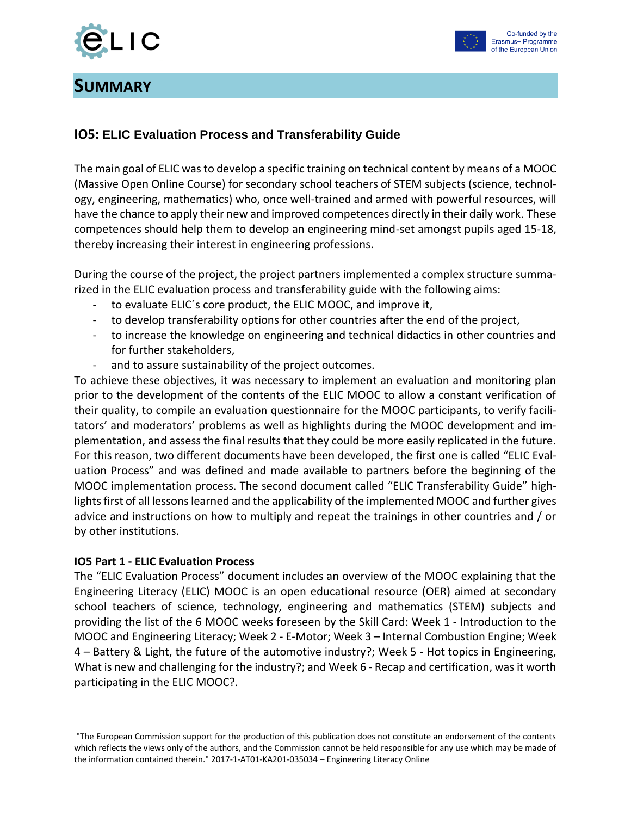

## **SUMMARY**



## **IO5: ELIC Evaluation Process and Transferability Guide**

The main goal of ELIC was to develop a specific training on technical content by means of a MOOC (Massive Open Online Course) for secondary school teachers of STEM subjects (science, technology, engineering, mathematics) who, once well-trained and armed with powerful resources, will have the chance to apply their new and improved competences directly in their daily work. These competences should help them to develop an engineering mind-set amongst pupils aged 15-18, thereby increasing their interest in engineering professions.

During the course of the project, the project partners implemented a complex structure summarized in the ELIC evaluation process and transferability guide with the following aims:

- to evaluate ELIC's core product, the ELIC MOOC, and improve it,
- to develop transferability options for other countries after the end of the project,
- to increase the knowledge on engineering and technical didactics in other countries and for further stakeholders,
- and to assure sustainability of the project outcomes.

To achieve these objectives, it was necessary to implement an evaluation and monitoring plan prior to the development of the contents of the ELIC MOOC to allow a constant verification of their quality, to compile an evaluation questionnaire for the MOOC participants, to verify facilitators' and moderators' problems as well as highlights during the MOOC development and implementation, and assess the final results that they could be more easily replicated in the future. For this reason, two different documents have been developed, the first one is called "ELIC Evaluation Process" and was defined and made available to partners before the beginning of the MOOC implementation process. The second document called "ELIC Transferability Guide" highlights first of all lessons learned and the applicability of the implemented MOOC and further gives advice and instructions on how to multiply and repeat the trainings in other countries and / or by other institutions.

## **IO5 Part 1 - ELIC Evaluation Process**

The "ELIC Evaluation Process" document includes an overview of the MOOC explaining that the Engineering Literacy (ELIC) MOOC is an open educational resource (OER) aimed at secondary school teachers of science, technology, engineering and mathematics (STEM) subjects and providing the list of the 6 MOOC weeks foreseen by the Skill Card: Week 1 - Introduction to the MOOC and Engineering Literacy; Week 2 - E-Motor; Week 3 – Internal Combustion Engine; Week 4 – Battery & Light, the future of the automotive industry?; Week 5 - Hot topics in Engineering, What is new and challenging for the industry?; and Week 6 - Recap and certification, was it worth participating in the ELIC MOOC?.

<sup>&</sup>quot;The European Commission support for the production of this publication does not constitute an endorsement of the contents which reflects the views only of the authors, and the Commission cannot be held responsible for any use which may be made of the information contained therein." 2017-1-AT01-KA201-035034 – Engineering Literacy Online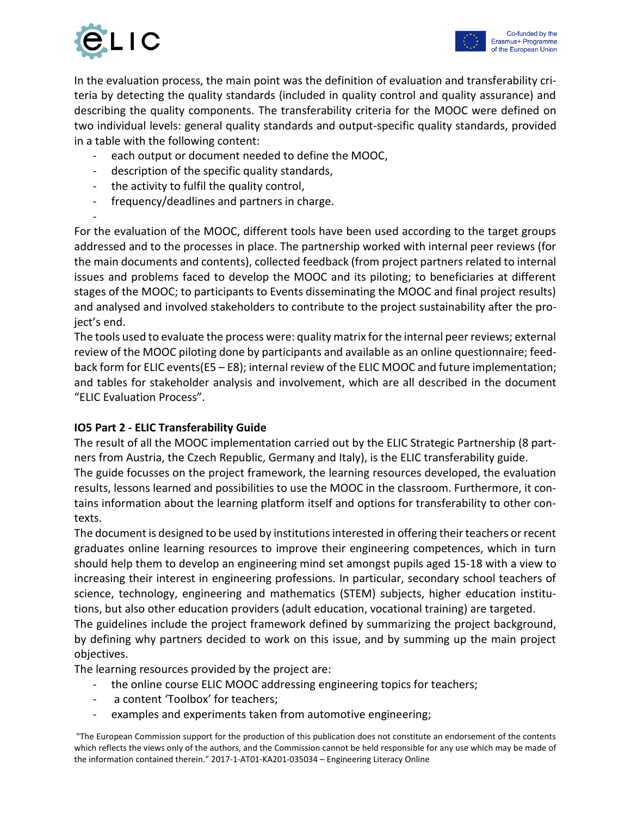

In the evaluation process, the main point was the definition of evaluation and transferability criteria by detecting the quality standards (included in quality control and quality assurance) and describing the quality components. The transferability criteria for the MOOC were defined on two individual levels: general quality standards and output-specific quality standards, provided in a table with the following content:

- each output or document needed to define the MOOC,
- description of the specific quality standards,
- the activity to fulfil the quality control,
- frequency/deadlines and partners in charge.
- -

For the evaluation of the MOOC, different tools have been used according to the target groups addressed and to the processes in place. The partnership worked with internal peer reviews (for the main documents and contents), collected feedback (from project partners related to internal issues and problems faced to develop the MOOC and its piloting; to beneficiaries at different stages of the MOOC; to participants to Events disseminating the MOOC and final project results) and analysed and involved stakeholders to contribute to the project sustainability after the project's end.

The tools used to evaluate the process were: quality matrix for the internal peer reviews; external review of the MOOC piloting done by participants and available as an online questionnaire; feedback form for ELIC events(E5 – E8); internal review of the ELIC MOOC and future implementation; and tables for stakeholder analysis and involvement, which are all described in the document "ELIC Evaluation Process".

## **IO5 Part 2 - ELIC Transferability Guide**

The result of all the MOOC implementation carried out by the ELIC Strategic Partnership (8 partners from Austria, the Czech Republic, Germany and Italy), is the ELIC transferability guide. The guide focusses on the project framework, the learning resources developed, the evaluation results, lessons learned and possibilities to use the MOOC in the classroom. Furthermore, it contains information about the learning platform itself and options for transferability to other contexts.

The document is designed to be used by institutions interested in offering their teachers or recent graduates online learning resources to improve their engineering competences, which in turn should help them to develop an engineering mind set amongst pupils aged 15-18 with a view to increasing their interest in engineering professions. In particular, secondary school teachers of science, technology, engineering and mathematics (STEM) subjects, higher education institutions, but also other education providers (adult education, vocational training) are targeted.

The guidelines include the project framework defined by summarizing the project background, by defining why partners decided to work on this issue, and by summing up the main project objectives.

The learning resources provided by the project are:

- the online course ELIC MOOC addressing engineering topics for teachers;
- a content 'Toolbox' for teachers;
- examples and experiments taken from automotive engineering;

"The European Commission support for the production of this publication does not constitute an endorsement of the contents which reflects the views only of the authors, and the Commission cannot be held responsible for any use which may be made of the information contained therein." 2017-1-AT01-KA201-035034 – Engineering Literacy Online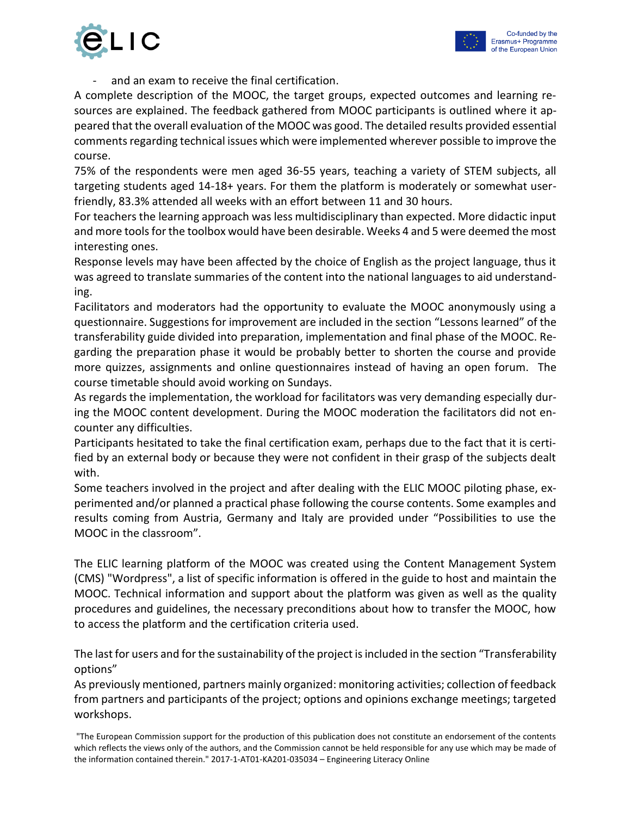

and an exam to receive the final certification.

A complete description of the MOOC, the target groups, expected outcomes and learning resources are explained. The feedback gathered from MOOC participants is outlined where it appeared that the overall evaluation of the MOOC was good. The detailed results provided essential comments regarding technical issues which were implemented wherever possible to improve the course.

75% of the respondents were men aged 36-55 years, teaching a variety of STEM subjects, all targeting students aged 14-18+ years. For them the platform is moderately or somewhat userfriendly, 83.3% attended all weeks with an effort between 11 and 30 hours.

For teachers the learning approach was less multidisciplinary than expected. More didactic input and more tools for the toolbox would have been desirable. Weeks 4 and 5 were deemed the most interesting ones.

Response levels may have been affected by the choice of English as the project language, thus it was agreed to translate summaries of the content into the national languages to aid understanding.

Facilitators and moderators had the opportunity to evaluate the MOOC anonymously using a questionnaire. Suggestions for improvement are included in the section "Lessons learned" of the transferability guide divided into preparation, implementation and final phase of the MOOC. Regarding the preparation phase it would be probably better to shorten the course and provide more quizzes, assignments and online questionnaires instead of having an open forum. The course timetable should avoid working on Sundays.

As regards the implementation, the workload for facilitators was very demanding especially during the MOOC content development. During the MOOC moderation the facilitators did not encounter any difficulties.

Participants hesitated to take the final certification exam, perhaps due to the fact that it is certified by an external body or because they were not confident in their grasp of the subjects dealt with.

Some teachers involved in the project and after dealing with the ELIC MOOC piloting phase, experimented and/or planned a practical phase following the course contents. Some examples and results coming from Austria, Germany and Italy are provided under "Possibilities to use the MOOC in the classroom".

The ELIC learning platform of the MOOC was created using the Content Management System (CMS) "Wordpress", a list of specific information is offered in the guide to host and maintain the MOOC. Technical information and support about the platform was given as well as the quality procedures and guidelines, the necessary preconditions about how to transfer the MOOC, how to access the platform and the certification criteria used.

The last for users and for the sustainability of the project is included in the section "Transferability options"

As previously mentioned, partners mainly organized: monitoring activities; collection of feedback from partners and participants of the project; options and opinions exchange meetings; targeted workshops.

<sup>&</sup>quot;The European Commission support for the production of this publication does not constitute an endorsement of the contents which reflects the views only of the authors, and the Commission cannot be held responsible for any use which may be made of the information contained therein." 2017-1-AT01-KA201-035034 – Engineering Literacy Online